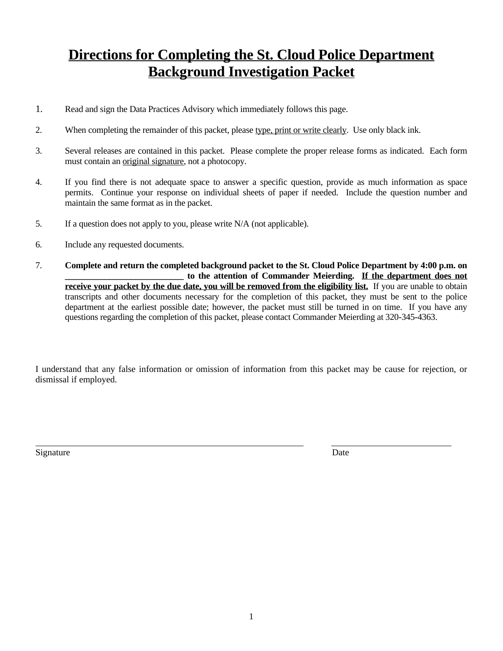# **Directions for Completing the St. Cloud Police Department Background Investigation Packet**

- 1. Read and sign the Data Practices Advisory which immediately follows this page.
- 2. When completing the remainder of this packet, please type, print or write clearly. Use only black ink.
- 3. Several releases are contained in this packet. Please complete the proper release forms as indicated. Each form must contain an original signature, not a photocopy.
- 4. If you find there is not adequate space to answer a specific question, provide as much information as space permits. Continue your response on individual sheets of paper if needed. Include the question number and maintain the same format as in the packet.
- 5. If a question does not apply to you, please write N/A (not applicable).
- 6. Include any requested documents.
- 7. **Complete and return the completed background packet to the St. Cloud Police Department by 4:00 p.m. on \_\_\_\_\_\_\_\_\_\_\_\_\_\_\_\_\_\_\_\_\_\_\_\_\_\_\_ to the attention of Commander Meierding. If the department does not receive your packet by the due date, you will be removed from the eligibility list.** If you are unable to obtain transcripts and other documents necessary for the completion of this packet, they must be sent to the police department at the earliest possible date; however, the packet must still be turned in on time. If you have any questions regarding the completion of this packet, please contact Commander Meierding at 320-345-4363.

I understand that any false information or omission of information from this packet may be cause for rejection, or dismissal if employed.

Signature Date

 $\overline{a}$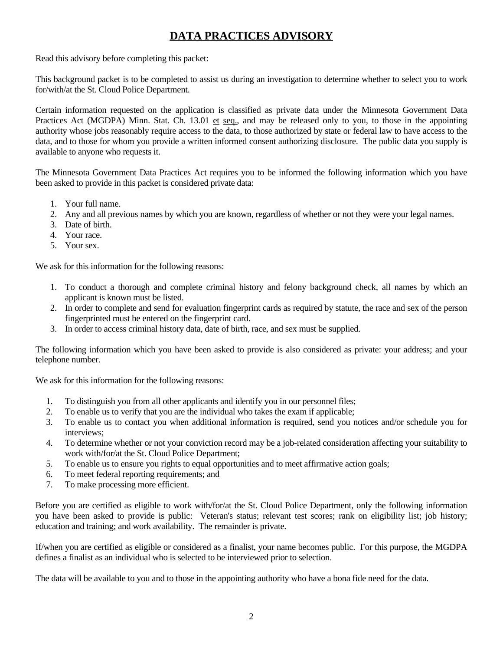### **DATA PRACTICES ADVISORY**

Read this advisory before completing this packet:

This background packet is to be completed to assist us during an investigation to determine whether to select you to work for/with/at the St. Cloud Police Department.

Certain information requested on the application is classified as private data under the Minnesota Government Data Practices Act (MGDPA) Minn. Stat. Ch. 13.01 et seq., and may be released only to you, to those in the appointing authority whose jobs reasonably require access to the data, to those authorized by state or federal law to have access to the data, and to those for whom you provide a written informed consent authorizing disclosure. The public data you supply is available to anyone who requests it.

The Minnesota Government Data Practices Act requires you to be informed the following information which you have been asked to provide in this packet is considered private data:

- 1. Your full name.
- 2. Any and all previous names by which you are known, regardless of whether or not they were your legal names.
- 3. Date of birth.
- 4. Your race.
- 5. Your sex.

We ask for this information for the following reasons:

- 1. To conduct a thorough and complete criminal history and felony background check, all names by which an applicant is known must be listed.
- 2. In order to complete and send for evaluation fingerprint cards as required by statute, the race and sex of the person fingerprinted must be entered on the fingerprint card.
- 3. In order to access criminal history data, date of birth, race, and sex must be supplied.

The following information which you have been asked to provide is also considered as private: your address; and your telephone number.

We ask for this information for the following reasons:

- 1. To distinguish you from all other applicants and identify you in our personnel files;
- 2. To enable us to verify that you are the individual who takes the exam if applicable;
- 3. To enable us to contact you when additional information is required, send you notices and/or schedule you for interviews;
- 4. To determine whether or not your conviction record may be a job-related consideration affecting your suitability to work with/for/at the St. Cloud Police Department;
- 5. To enable us to ensure you rights to equal opportunities and to meet affirmative action goals;
- 6. To meet federal reporting requirements; and
- 7. To make processing more efficient.

Before you are certified as eligible to work with/for/at the St. Cloud Police Department, only the following information you have been asked to provide is public: Veteran's status; relevant test scores; rank on eligibility list; job history; education and training; and work availability. The remainder is private.

If/when you are certified as eligible or considered as a finalist, your name becomes public. For this purpose, the MGDPA defines a finalist as an individual who is selected to be interviewed prior to selection.

The data will be available to you and to those in the appointing authority who have a bona fide need for the data.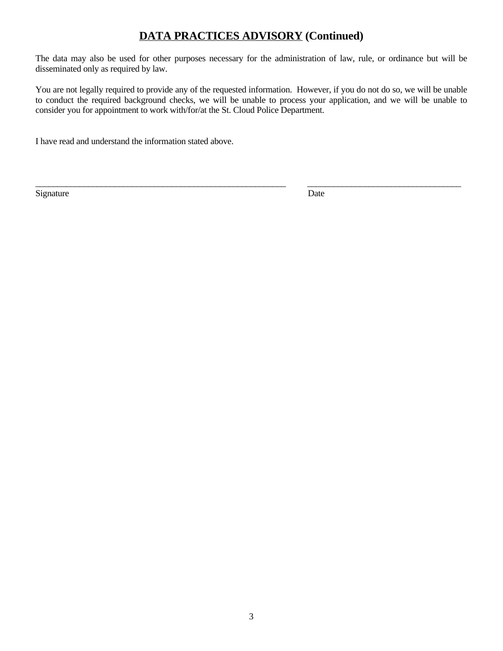### **DATA PRACTICES ADVISORY (Continued)**

The data may also be used for other purposes necessary for the administration of law, rule, or ordinance but will be disseminated only as required by law.

You are not legally required to provide any of the requested information. However, if you do not do so, we will be unable to conduct the required background checks, we will be unable to process your application, and we will be unable to consider you for appointment to work with/for/at the St. Cloud Police Department.

\_\_\_\_\_\_\_\_\_\_\_\_\_\_\_\_\_\_\_\_\_\_\_\_\_\_\_\_\_\_\_\_\_\_\_\_\_\_\_\_\_\_\_\_\_\_\_\_\_\_\_\_\_\_\_\_\_ \_\_\_\_\_\_\_\_\_\_\_\_\_\_\_\_\_\_\_\_\_\_\_\_\_\_\_\_\_\_\_\_\_\_\_

I have read and understand the information stated above.

Signature Date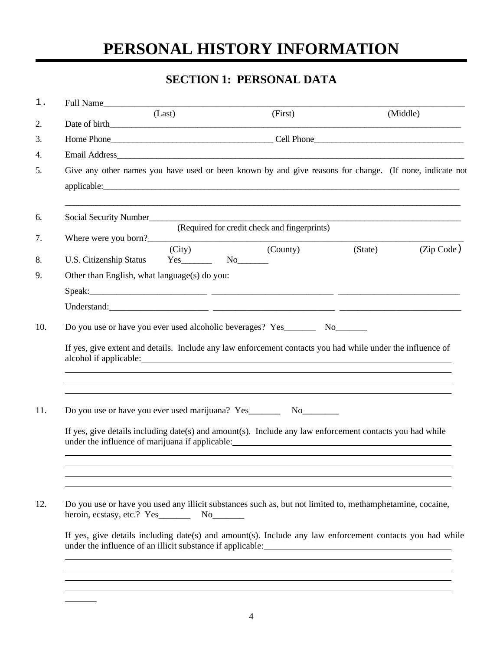# **PERSONAL HISTORY INFORMATION**

# **SECTION 1: PERSONAL DATA**

| $1$ . |                                                                                   | Full Name<br>(Last)                               | (First)                                                                                                                                                                                        |         | (Middle)   |  |  |
|-------|-----------------------------------------------------------------------------------|---------------------------------------------------|------------------------------------------------------------------------------------------------------------------------------------------------------------------------------------------------|---------|------------|--|--|
| 2.    |                                                                                   |                                                   |                                                                                                                                                                                                |         |            |  |  |
| 3.    |                                                                                   |                                                   |                                                                                                                                                                                                |         |            |  |  |
| 4.    |                                                                                   |                                                   |                                                                                                                                                                                                |         |            |  |  |
| 5.    |                                                                                   |                                                   | Give any other names you have used or been known by and give reasons for change. (If none, indicate not                                                                                        |         |            |  |  |
| 6.    | Social Security Number                                                            |                                                   |                                                                                                                                                                                                |         |            |  |  |
| 7.    |                                                                                   | Where were you born?                              | (Required for credit check and fingerprints)                                                                                                                                                   |         |            |  |  |
| 8.    |                                                                                   | (City)<br>U.S. Citizenship Status Yes No No No No | (County)                                                                                                                                                                                       | (State) | (Zip Code) |  |  |
| 9.    | Other than English, what language(s) do you:                                      |                                                   |                                                                                                                                                                                                |         |            |  |  |
|       |                                                                                   |                                                   |                                                                                                                                                                                                |         |            |  |  |
|       |                                                                                   |                                                   |                                                                                                                                                                                                |         |            |  |  |
|       |                                                                                   |                                                   | If yes, give extent and details. Include any law enforcement contacts you had while under the influence of<br>,我们也不能在这里,我们也不能在这里,我们也不能在这里,我们也不能在这里,我们也不能在这里,我们也不能在这里,我们也不能会不能在这里。我们也不能会不能会不能会不 |         |            |  |  |
| 11.   | Do you use or have you ever used marijuana? Yes__________________________________ |                                                   |                                                                                                                                                                                                |         |            |  |  |
|       |                                                                                   |                                                   | If yes, give details including date(s) and amount(s). Include any law enforcement contacts you had while                                                                                       |         |            |  |  |
| 12.   |                                                                                   |                                                   | Do you use or have you used any illicit substances such as, but not limited to, methamphetamine, cocaine,                                                                                      |         |            |  |  |
|       |                                                                                   |                                                   | If yes, give details including date(s) and amount(s). Include any law enforcement contacts you had while<br>under the influence of an illicit substance if applicable:                         |         |            |  |  |
|       |                                                                                   |                                                   |                                                                                                                                                                                                |         |            |  |  |

 $\overline{a}$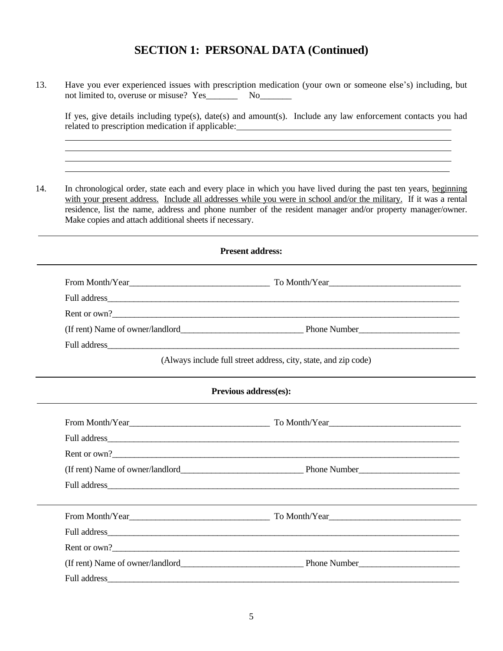#### **SECTION 1: PERSONAL DATA (Continued)**

13. Have you ever experienced issues with prescription medication (your own or someone else's) including, but not limited to, overuse or misuse? Yes\_\_\_\_\_\_\_ No\_\_\_\_\_\_\_

 $\overline{a}$  $\overline{a}$  $\overline{a}$  $\overline{a}$ 

If yes, give details including type(s), date(s) and amount(s). Include any law enforcement contacts you had related to prescription medication if applicable:

14. In chronological order, state each and every place in which you have lived during the past ten years, beginning with your present address. Include all addresses while you were in school and/or the military. If it was a rental residence, list the name, address and phone number of the resident manager and/or property manager/owner. Make copies and attach additional sheets if necessary.

| <b>Present address:</b>                                                                                                                                                                                                              |
|--------------------------------------------------------------------------------------------------------------------------------------------------------------------------------------------------------------------------------------|
|                                                                                                                                                                                                                                      |
|                                                                                                                                                                                                                                      |
|                                                                                                                                                                                                                                      |
|                                                                                                                                                                                                                                      |
|                                                                                                                                                                                                                                      |
| (Always include full street address, city, state, and zip code)                                                                                                                                                                      |
| Previous address(es):                                                                                                                                                                                                                |
|                                                                                                                                                                                                                                      |
|                                                                                                                                                                                                                                      |
| Rent or own?                                                                                                                                                                                                                         |
|                                                                                                                                                                                                                                      |
|                                                                                                                                                                                                                                      |
| From Month/Year To Month/Year To Month/Year To Month/Year To Month/Year To Month/Year To Month/Year To Month/Year To Month/Year To Month/Year To Month/Year To Month/Year To Month/Year To Month/Year To Month/Year To Month/Y       |
|                                                                                                                                                                                                                                      |
| Rent or own?                                                                                                                                                                                                                         |
|                                                                                                                                                                                                                                      |
| Full address <u>and the contract of the contract of the contract of the contract of the contract of the contract of the contract of the contract of the contract of the contract of the contract of the contract of the contract</u> |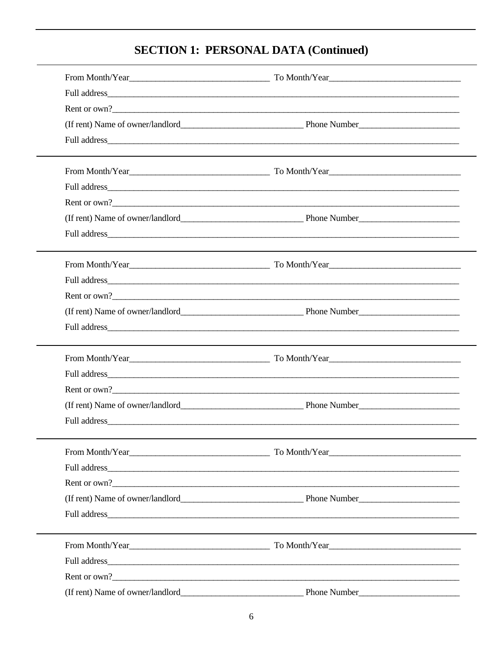# **SECTION 1: PERSONAL DATA (Continued)**

| Rent or own?                                                                                                                                                                                                                   |  |
|--------------------------------------------------------------------------------------------------------------------------------------------------------------------------------------------------------------------------------|--|
|                                                                                                                                                                                                                                |  |
|                                                                                                                                                                                                                                |  |
|                                                                                                                                                                                                                                |  |
|                                                                                                                                                                                                                                |  |
| Rent or own?                                                                                                                                                                                                                   |  |
|                                                                                                                                                                                                                                |  |
|                                                                                                                                                                                                                                |  |
|                                                                                                                                                                                                                                |  |
| Full address experience and the contract of the contract of the contract of the contract of the contract of the contract of the contract of the contract of the contract of the contract of the contract of the contract of th |  |
| Rent or own?                                                                                                                                                                                                                   |  |
|                                                                                                                                                                                                                                |  |
|                                                                                                                                                                                                                                |  |
| From Month/Year From Month/Year  To Month/Year  To Month/Year  To Month/Year  To Month/Year  To Month/Year  To Month/Year  To Month/Year  To Month/Year  To Month/Year  To Month/Year  To Month/Year  To Month/Year  To Month/ |  |
| Full address experience and the contract of the contract of the contract of the contract of the contract of the contract of the contract of the contract of the contract of the contract of the contract of the contract of th |  |
| Rent or own?                                                                                                                                                                                                                   |  |
|                                                                                                                                                                                                                                |  |
|                                                                                                                                                                                                                                |  |
| From Month/Year From Month/Year  To Month/Year  To Month/Year  To Month/Year  To Month/Year  To Month/Year  To Month/Year  To Month/Year  To Month/Year  To Month/Year  To Month/Year  To Month/Year  To Month/Year  To Month/ |  |
|                                                                                                                                                                                                                                |  |
| Rent or own?                                                                                                                                                                                                                   |  |
|                                                                                                                                                                                                                                |  |
|                                                                                                                                                                                                                                |  |
|                                                                                                                                                                                                                                |  |
|                                                                                                                                                                                                                                |  |
| Rent or own?                                                                                                                                                                                                                   |  |
|                                                                                                                                                                                                                                |  |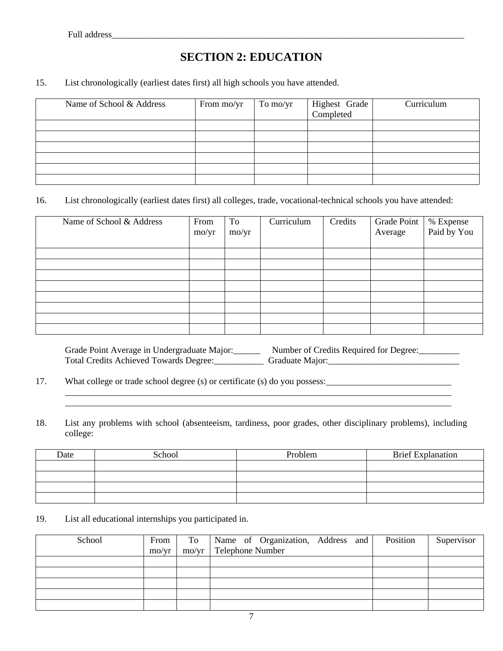$\overline{a}$  $\overline{a}$ 

## **SECTION 2: EDUCATION**

#### 15. List chronologically (earliest dates first) all high schools you have attended.

| Name of School & Address | From mo/yr | To mo/yr | Highest Grade | Curriculum |
|--------------------------|------------|----------|---------------|------------|
|                          |            |          |               |            |
|                          |            |          |               |            |
|                          |            |          |               |            |
|                          |            |          |               |            |
|                          |            |          |               |            |
|                          |            |          |               |            |

#### 16. List chronologically (earliest dates first) all colleges, trade, vocational-technical schools you have attended:

| Name of School & Address | From<br>$\text{mo/yr}$ | To<br>mo/yr | Curriculum | Credits | Grade Point<br>Average | % Expense<br>Paid by You |
|--------------------------|------------------------|-------------|------------|---------|------------------------|--------------------------|
|                          |                        |             |            |         |                        |                          |
|                          |                        |             |            |         |                        |                          |
|                          |                        |             |            |         |                        |                          |
|                          |                        |             |            |         |                        |                          |
|                          |                        |             |            |         |                        |                          |
|                          |                        |             |            |         |                        |                          |
|                          |                        |             |            |         |                        |                          |
|                          |                        |             |            |         |                        |                          |

Grade Point Average in Undergraduate Major:\_\_\_\_\_\_\_\_ Number of Credits Required for Degree:\_\_\_\_\_\_\_\_\_ Total Credits Achieved Towards Degree:\_\_\_\_\_\_\_\_\_\_\_ Graduate Major:\_\_\_\_\_\_\_\_\_\_\_\_\_\_\_\_\_\_\_\_\_\_\_\_\_\_\_\_\_

17. What college or trade school degree (s) or certificate (s) do you possess:

18. List any problems with school (absenteeism, tardiness, poor grades, other disciplinary problems), including college:

| Date | School | Problem | <b>Brief Explanation</b> |
|------|--------|---------|--------------------------|
|      |        |         |                          |
|      |        |         |                          |
|      |        |         |                          |
|      |        |         |                          |

19. List all educational internships you participated in.

| School | From                  |                | To   Name of Organization, Address and | Position | Supervisor |
|--------|-----------------------|----------------|----------------------------------------|----------|------------|
|        | $\text{mo}/\text{vr}$ | $\text{mo/yr}$ | Telephone Number                       |          |            |
|        |                       |                |                                        |          |            |
|        |                       |                |                                        |          |            |
|        |                       |                |                                        |          |            |
|        |                       |                |                                        |          |            |
|        |                       |                |                                        |          |            |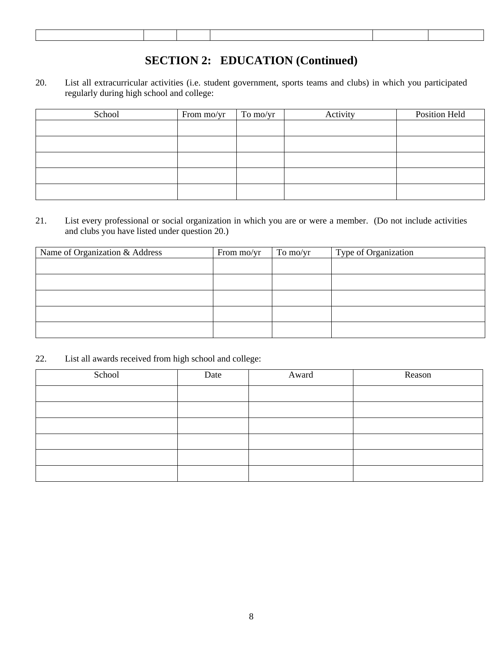### **SECTION 2: EDUCATION (Continued)**

20. List all extracurricular activities (i.e. student government, sports teams and clubs) in which you participated regularly during high school and college:

| School | From mo/yr | To mo/yr | Activity | Position Held |
|--------|------------|----------|----------|---------------|
|        |            |          |          |               |
|        |            |          |          |               |
|        |            |          |          |               |
|        |            |          |          |               |
|        |            |          |          |               |

21. List every professional or social organization in which you are or were a member. (Do not include activities and clubs you have listed under question 20.)

| Name of Organization & Address | From mo/yr | To mo/yr | Type of Organization |
|--------------------------------|------------|----------|----------------------|
|                                |            |          |                      |
|                                |            |          |                      |
|                                |            |          |                      |
|                                |            |          |                      |
|                                |            |          |                      |

22. List all awards received from high school and college:

| School | Date | Award | Reason |
|--------|------|-------|--------|
|        |      |       |        |
|        |      |       |        |
|        |      |       |        |
|        |      |       |        |
|        |      |       |        |
|        |      |       |        |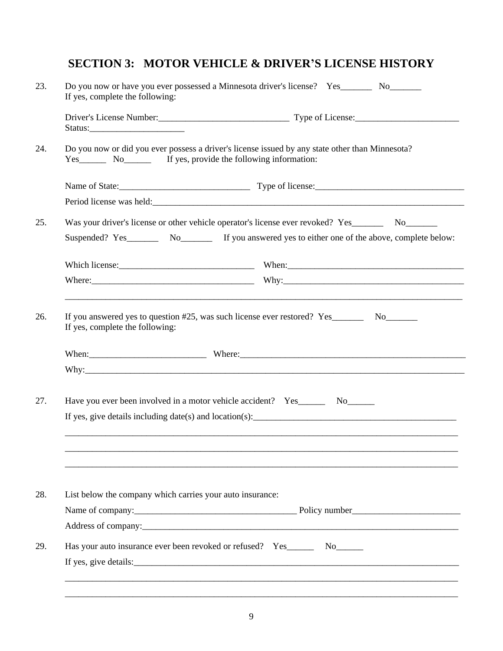### **SECTION 3: MOTOR VEHICLE & DRIVER'S LICENSE HISTORY**

| 23. | Do you now or have you ever possessed a Minnesota driver's license? Yes_________ No_________<br>If yes, complete the following: |
|-----|---------------------------------------------------------------------------------------------------------------------------------|
|     |                                                                                                                                 |
| 24. | Do you now or did you ever possess a driver's license issued by any state other than Minnesota?                                 |
|     |                                                                                                                                 |
|     |                                                                                                                                 |
| 25. | Was your driver's license or other vehicle operator's license ever revoked? Yes___________ No_______                            |
|     | Suspended? Yes__________ No__________ If you answered yes to either one of the above, complete below:                           |
|     |                                                                                                                                 |
|     |                                                                                                                                 |
|     |                                                                                                                                 |
| 27. | Have you ever been involved in a motor vehicle accident? Yes__________ No________                                               |
|     | If yes, give details including $date(s)$ and location(s):                                                                       |
|     |                                                                                                                                 |
| 28. | List below the company which carries your auto insurance:                                                                       |
|     |                                                                                                                                 |
|     |                                                                                                                                 |
| 29. |                                                                                                                                 |
|     |                                                                                                                                 |
|     |                                                                                                                                 |
|     |                                                                                                                                 |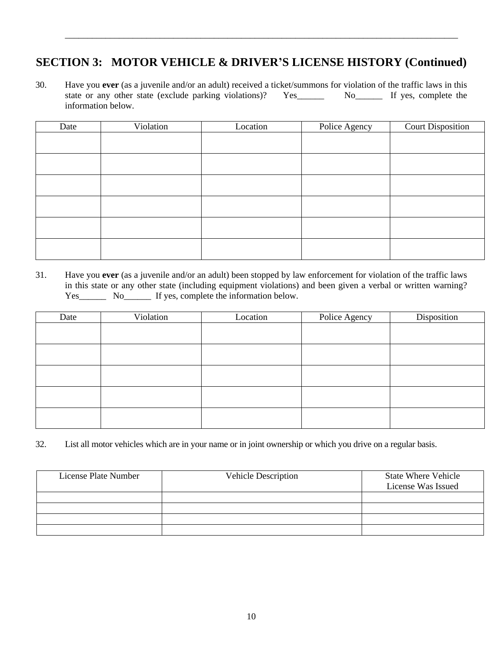### **SECTION 3: MOTOR VEHICLE & DRIVER'S LICENSE HISTORY (Continued)**

\_\_\_\_\_\_\_\_\_\_\_\_\_\_\_\_\_\_\_\_\_\_\_\_\_\_\_\_\_\_\_\_\_\_\_\_\_\_\_\_\_\_\_\_\_\_\_\_\_\_\_\_\_\_\_\_\_\_\_\_\_\_\_\_\_\_\_\_\_\_\_\_\_\_\_\_\_\_\_\_\_\_\_\_\_\_\_

30. Have you **ever** (as a juvenile and/or an adult) received a ticket/summons for violation of the traffic laws in this state or any other state (exclude parking violations)? information below.

| Date | Violation | Location | Police Agency | <b>Court Disposition</b> |
|------|-----------|----------|---------------|--------------------------|
|      |           |          |               |                          |
|      |           |          |               |                          |
|      |           |          |               |                          |
|      |           |          |               |                          |
|      |           |          |               |                          |
|      |           |          |               |                          |
|      |           |          |               |                          |
|      |           |          |               |                          |

31. Have you **ever** (as a juvenile and/or an adult) been stopped by law enforcement for violation of the traffic laws in this state or any other state (including equipment violations) and been given a verbal or written warning? Yes\_\_\_\_\_\_\_\_ No\_\_\_\_\_\_\_ If yes, complete the information below.

| Date | Violation | Location | Police Agency | Disposition |
|------|-----------|----------|---------------|-------------|
|      |           |          |               |             |
|      |           |          |               |             |
|      |           |          |               |             |
|      |           |          |               |             |
|      |           |          |               |             |
|      |           |          |               |             |
|      |           |          |               |             |
|      |           |          |               |             |
|      |           |          |               |             |
|      |           |          |               |             |

32. List all motor vehicles which are in your name or in joint ownership or which you drive on a regular basis.

| License Plate Number | <b>Vehicle Description</b> | <b>State Where Vehicle</b><br>License Was Issued |
|----------------------|----------------------------|--------------------------------------------------|
|                      |                            |                                                  |
|                      |                            |                                                  |
|                      |                            |                                                  |
|                      |                            |                                                  |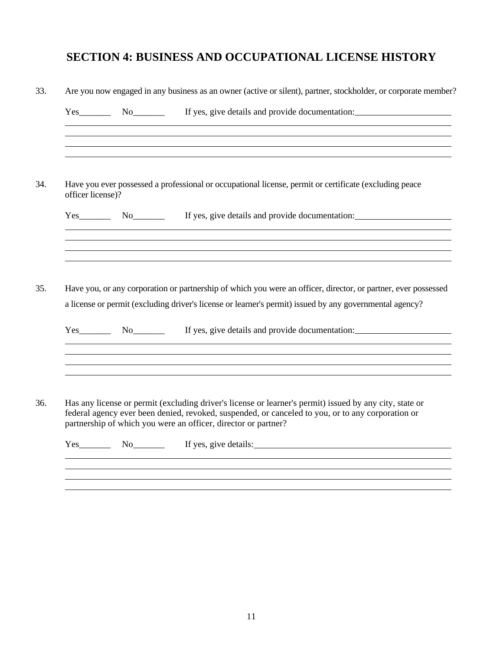# **SECTION 4: BUSINESS AND OCCUPATIONAL LICENSE HISTORY**

|                   |                            | Yes No If yes, give details and provide documentation:<br><u> 1990 - Jan James James James James James James James James James James James James James James James James J</u>                                                                                                 |
|-------------------|----------------------------|--------------------------------------------------------------------------------------------------------------------------------------------------------------------------------------------------------------------------------------------------------------------------------|
| officer license)? |                            | Have you ever possessed a professional or occupational license, permit or certificate (excluding peace                                                                                                                                                                         |
| Yes               |                            | If yes, give details and provide documentation:                                                                                                                                                                                                                                |
|                   |                            | ,我们也不会有什么。""我们的人,我们也不会有什么?""我们的人,我们也不会有什么?""我们的人,我们也不会有什么?""我们的人,我们也不会有什么?""我们的人<br>Have you, or any corporation or partnership of which you were an officer, director, or partner, ever possessed                                                                             |
| Yes               | $No$ <sub>__________</sub> | a license or permit (excluding driver's license or learner's permit) issued by any governmental agency?<br>If yes, give details and provide documentation:                                                                                                                     |
|                   |                            |                                                                                                                                                                                                                                                                                |
|                   |                            | Has any license or permit (excluding driver's license or learner's permit) issued by any city, state or<br>federal agency ever been denied, revoked, suspended, or canceled to you, or to any corporation or<br>partnership of which you were an officer, director or partner? |

 $\overline{a}$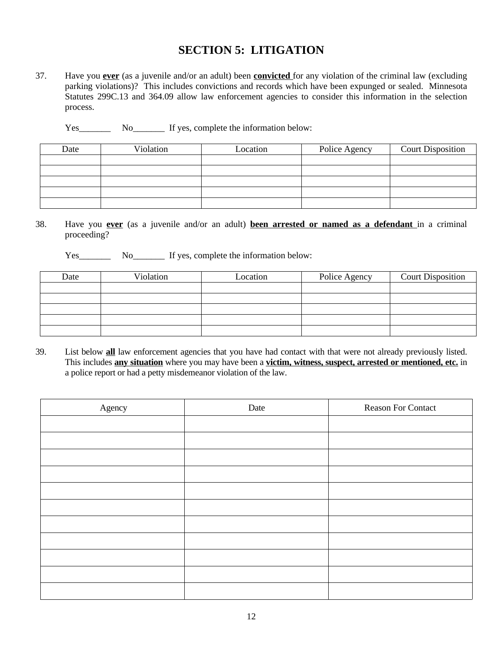#### **SECTION 5: LITIGATION**

37. Have you **ever** (as a juvenile and/or an adult) been **convicted** for any violation of the criminal law (excluding parking violations)? This includes convictions and records which have been expunged or sealed. Minnesota Statutes 299C.13 and 364.09 allow law enforcement agencies to consider this information in the selection process.

Yes\_\_\_\_\_\_\_\_\_ No\_\_\_\_\_\_\_\_ If yes, complete the information below:

| Date | Violation | Location | Police Agency | <b>Court Disposition</b> |
|------|-----------|----------|---------------|--------------------------|
|      |           |          |               |                          |
|      |           |          |               |                          |
|      |           |          |               |                          |
|      |           |          |               |                          |
|      |           |          |               |                          |

- 38. Have you **ever** (as a juvenile and/or an adult) **been arrested or named as a defendant** in a criminal proceeding?
	- Yes\_\_\_\_\_\_\_\_\_ No\_\_\_\_\_\_\_\_ If yes, complete the information below:

| Date | Violation | Location | Police Agency | <b>Court Disposition</b> |
|------|-----------|----------|---------------|--------------------------|
|      |           |          |               |                          |
|      |           |          |               |                          |
|      |           |          |               |                          |
|      |           |          |               |                          |
|      |           |          |               |                          |

39. List below **all** law enforcement agencies that you have had contact with that were not already previously listed. This includes **any situation** where you may have been a **victim, witness, suspect, arrested or mentioned, etc.** in a police report or had a petty misdemeanor violation of the law.

| Agency | Date | <b>Reason For Contact</b> |
|--------|------|---------------------------|
|        |      |                           |
|        |      |                           |
|        |      |                           |
|        |      |                           |
|        |      |                           |
|        |      |                           |
|        |      |                           |
|        |      |                           |
|        |      |                           |
|        |      |                           |
|        |      |                           |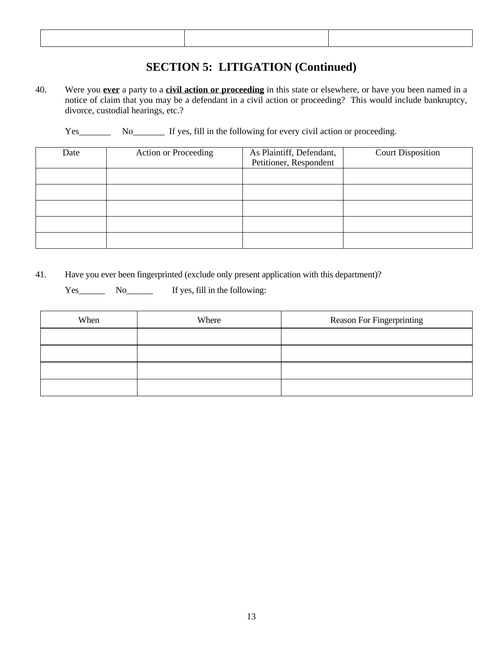### **SECTION 5: LITIGATION (Continued)**

40. Were you **ever** a party to a **civil action or proceeding** in this state or elsewhere, or have you been named in a notice of claim that you may be a defendant in a civil action or proceeding? This would include bankruptcy, divorce, custodial hearings, etc.?

Yes\_\_\_\_\_\_\_\_ No\_\_\_\_\_\_\_ If yes, fill in the following for every civil action or proceeding.

| Date | <b>Action or Proceeding</b> | As Plaintiff, Defendant,<br>Petitioner, Respondent | <b>Court Disposition</b> |
|------|-----------------------------|----------------------------------------------------|--------------------------|
|      |                             |                                                    |                          |
|      |                             |                                                    |                          |
|      |                             |                                                    |                          |
|      |                             |                                                    |                          |
|      |                             |                                                    |                          |

41. Have you ever been fingerprinted (exclude only present application with this department)?

Yes\_\_\_\_\_\_\_ No\_\_\_\_\_\_\_ If yes, fill in the following:

| When | Where | Reason For Fingerprinting |
|------|-------|---------------------------|
|      |       |                           |
|      |       |                           |
|      |       |                           |
|      |       |                           |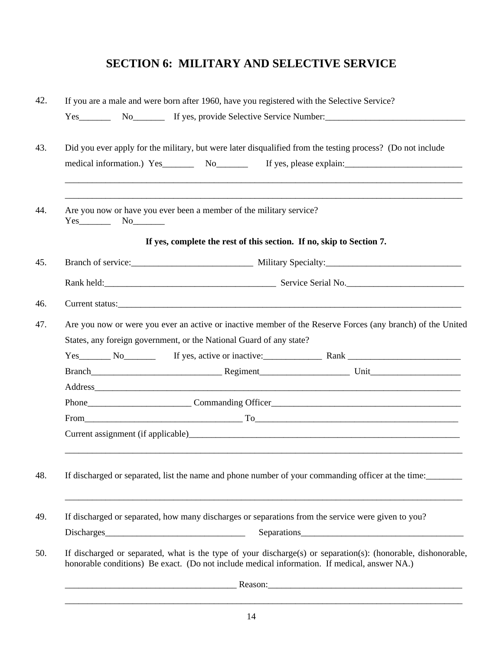### **SECTION 6: MILITARY AND SELECTIVE SERVICE**

|                              | If you are a male and were born after 1960, have you registered with the Selective Service?  |                                                                                                                                                                                                                    |
|------------------------------|----------------------------------------------------------------------------------------------|--------------------------------------------------------------------------------------------------------------------------------------------------------------------------------------------------------------------|
| $Yes$ <sub>___________</sub> |                                                                                              | No If yes, provide Selective Service Number: ___________________________________                                                                                                                                   |
|                              |                                                                                              | Did you ever apply for the military, but were later disqualified from the testing process? (Do not include<br>medical information.) Yes_________ No__________ If yes, please explain:_____________________________ |
| $Yes$ No $\qquad$            | Are you now or have you ever been a member of the military service?                          |                                                                                                                                                                                                                    |
|                              | If yes, complete the rest of this section. If no, skip to Section 7.                         |                                                                                                                                                                                                                    |
|                              |                                                                                              | Branch of service: Military Specialty: Military Specialty:                                                                                                                                                         |
|                              |                                                                                              |                                                                                                                                                                                                                    |
|                              |                                                                                              |                                                                                                                                                                                                                    |
|                              | States, any foreign government, or the National Guard of any state?                          | Are you now or were you ever an active or inactive member of the Reserve Forces (any branch) of the United<br>Yes No If yes, active or inactive: Rank Rank                                                         |
|                              |                                                                                              |                                                                                                                                                                                                                    |
|                              |                                                                                              | $From$ $T_0$                                                                                                                                                                                                       |
|                              |                                                                                              | If discharged or separated, list the name and phone number of your commanding officer at the time:                                                                                                                 |
|                              |                                                                                              | If discharged or separated, how many discharges or separations from the service were given to you?                                                                                                                 |
|                              |                                                                                              |                                                                                                                                                                                                                    |
|                              | honorable conditions) Be exact. (Do not include medical information. If medical, answer NA.) | If discharged or separated, what is the type of your discharge(s) or separation(s): (honorable, dishonorable,                                                                                                      |
|                              |                                                                                              | <u>Reason: Reason: 2008   2008   2008   2008   2008   2008   2008   2008   2008   2008   2008   2008   2008   200</u>                                                                                              |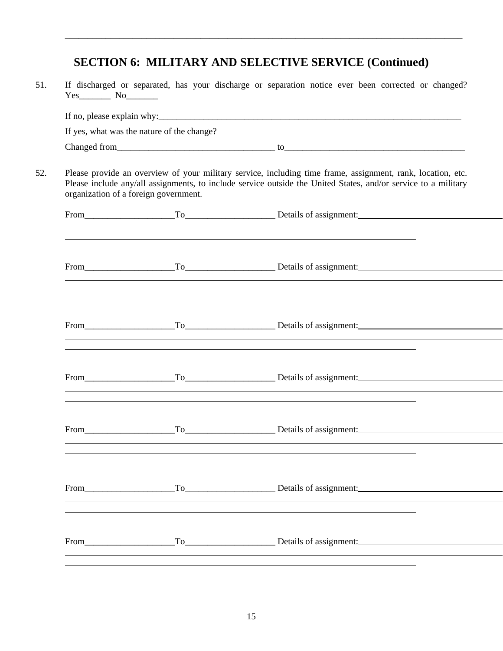#### **SECTION 6: MILITARY AND SELECTIVE SERVICE (Continued)**

\_\_\_\_\_\_\_\_\_\_\_\_\_\_\_\_\_\_\_\_\_\_\_\_\_\_\_\_\_\_\_\_\_\_\_\_\_\_\_\_\_\_\_\_\_\_\_\_\_\_\_\_\_\_\_\_\_\_\_\_\_\_\_\_\_\_\_\_\_\_\_\_\_\_\_\_\_\_\_\_\_\_\_\_\_\_\_\_

51. If discharged or separated, has your discharge or separation notice ever been corrected or changed? Yes No If no, please explain why:  $\frac{1}{2}$  is the set of the set of the set of the set of the set of the set of the set of the set of the set of the set of the set of the set of the set of the set of the set of the set of the s If yes, what was the nature of the change?  $\text{Change of from} \text{\textcolor{red}{\sum}}$ 52. Please provide an overview of your military service, including time frame, assignment, rank, location, etc. Please include any/all assignments, to include service outside the United States, and/or service to a military organization of a foreign government. From\_\_\_\_\_\_\_\_\_\_\_\_\_\_\_\_\_\_\_\_To\_\_\_\_\_\_\_\_\_\_\_\_\_\_\_\_\_\_\_\_ Details of assignment:  $\overline{a}$  $\overline{a}$ From\_\_\_\_\_\_\_\_\_\_\_\_\_\_\_\_\_\_\_\_To\_\_\_\_\_\_\_\_\_\_\_\_\_\_\_\_\_\_\_\_ Details of assignment: <u> 1980 - Johann Harry Harry Harry Harry Harry Harry Harry Harry Harry Harry Harry Harry Harry Harry Harry Harry</u>  $\overline{a}$  $\overline{a}$ From\_\_\_\_\_\_\_\_\_\_\_\_\_\_\_\_\_\_\_\_To\_\_\_\_\_\_\_\_\_\_\_\_\_\_\_\_\_\_\_\_ Details of assignment:  $\overline{a}$  $\overline{a}$ From\_\_\_\_\_\_\_\_\_\_\_\_\_\_\_\_\_\_\_\_To\_\_\_\_\_\_\_\_\_\_\_\_\_\_\_\_\_\_\_\_ Details of assignment:  $\overline{a}$  $\overline{a}$ From\_\_\_\_\_\_\_\_\_\_\_\_\_\_\_\_\_\_\_\_To\_\_\_\_\_\_\_\_\_\_\_\_\_\_\_\_\_\_\_\_ Details of assignment:  $\overline{a}$  $\overline{a}$ From\_\_\_\_\_\_\_\_\_\_\_\_\_\_\_\_\_\_\_\_To\_\_\_\_\_\_\_\_\_\_\_\_\_\_\_\_\_\_\_\_ Details of assignment:  $\overline{a}$  $\overline{a}$ From\_\_\_\_\_\_\_\_\_\_\_\_\_\_\_\_\_\_\_\_To\_\_\_\_\_\_\_\_\_\_\_\_\_\_\_\_\_\_\_\_ Details of assignment:  $\overline{a}$  $\overline{a}$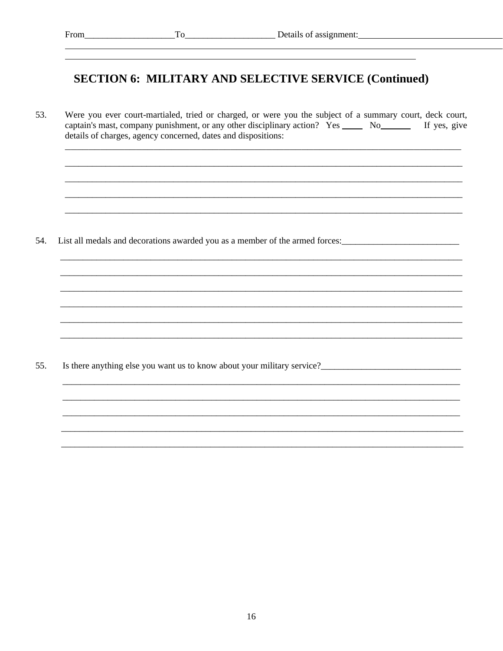## **SECTION 6: MILITARY AND SELECTIVE SERVICE (Continued)**

53. Were you ever court-martialed, tried or charged, or were you the subject of a summary court, deck court, captain's mast, company punishment, or any other disciplinary action? Yes \_\_\_\_\_\_\_ No\_\_\_\_\_\_\_\_\_\_\_ If yes, give details of charges, agency concerned, dates and dispositions:

54. List all medals and decorations awarded you as a member of the armed forces:

55. Is there anything else you want us to know about your military service?<br>
<u>Letting</u> the control of the service of the service of the service of the service of the service of the service of the service of the service of the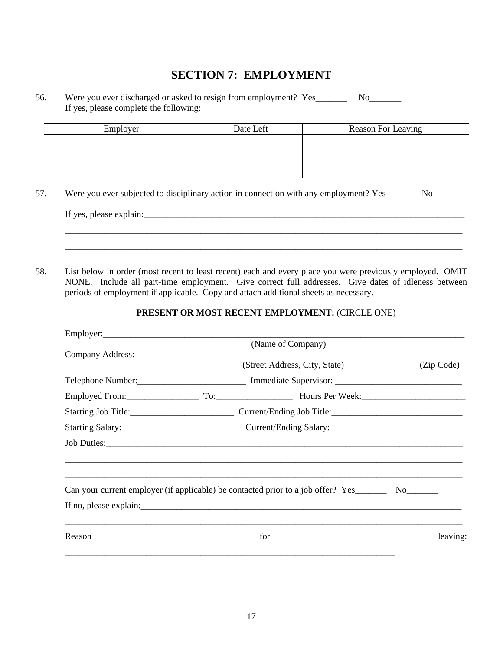### **SECTION 7: EMPLOYMENT**

#### 56. Were you ever discharged or asked to resign from employment? Yes\_\_\_\_\_\_\_\_\_ No\_\_\_\_\_\_\_ If yes, please complete the following:

| Employer | Date Left | Reason For Leaving |
|----------|-----------|--------------------|
|          |           |                    |
|          |           |                    |
|          |           |                    |
|          |           |                    |

57. Were you ever subjected to disciplinary action in connection with any employment? Yes\_\_\_\_\_\_\_ No\_\_\_\_\_\_\_

| If<br>$\mathcal{L}$ | DIE |                         |  |
|---------------------|-----|-------------------------|--|
|                     |     | _______________________ |  |
|                     |     |                         |  |

58. List below in order (most recent to least recent) each and every place you were previously employed. OMIT NONE. Include all part-time employment. Give correct full addresses. Give dates of idleness between periods of employment if applicable. Copy and attach additional sheets as necessary.

#### **PRESENT OR MOST RECENT EMPLOYMENT:** (CIRCLE ONE)

\_\_\_\_\_\_\_\_\_\_\_\_\_\_\_\_\_\_\_\_\_\_\_\_\_\_\_\_\_\_\_\_\_\_\_\_\_\_\_\_\_\_\_\_\_\_\_\_\_\_\_\_\_\_\_\_\_\_\_\_\_\_\_\_\_\_\_\_\_\_\_\_\_\_\_\_\_\_\_\_\_\_\_\_\_\_\_\_ \_\_\_\_\_\_\_\_\_\_\_\_\_\_\_\_\_\_\_\_\_\_\_\_\_\_\_\_\_\_\_\_\_\_\_\_\_\_\_\_\_\_\_\_\_\_\_\_\_\_\_\_\_\_\_\_\_\_\_\_\_\_\_\_\_\_\_\_\_\_\_\_\_\_\_\_\_\_\_\_\_\_\_\_\_\_\_\_

|        | (Name of Company)                                                                |            |
|--------|----------------------------------------------------------------------------------|------------|
|        |                                                                                  |            |
|        | (Street Address, City, State)                                                    | (Zip Code) |
|        |                                                                                  |            |
|        |                                                                                  |            |
|        |                                                                                  |            |
|        |                                                                                  |            |
|        |                                                                                  |            |
|        |                                                                                  |            |
|        |                                                                                  |            |
|        | Can your current employer (if applicable) be contacted prior to a job offer? Yes |            |
|        |                                                                                  |            |
| Reason | for                                                                              | leaving:   |
|        |                                                                                  |            |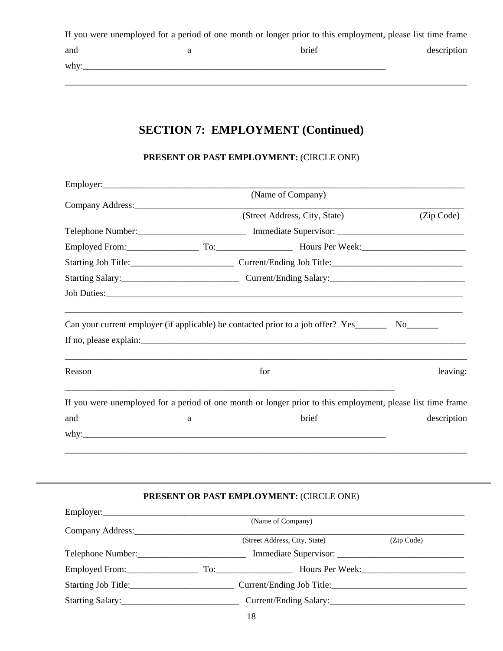|      | If you were unemployed for a period of one month or longer prior to this employment, please list time frame |             |
|------|-------------------------------------------------------------------------------------------------------------|-------------|
| and  | brief                                                                                                       | description |
| why: |                                                                                                             |             |

\_\_\_\_\_\_\_\_\_\_\_\_\_\_\_\_\_\_\_\_\_\_\_\_\_\_\_\_\_\_\_\_\_\_\_\_\_\_\_\_\_\_\_\_\_\_\_\_\_\_\_\_\_\_\_\_\_\_\_\_\_\_\_\_\_\_\_\_\_\_\_\_\_\_\_\_\_\_\_\_\_\_\_\_\_\_\_\_\_

# **SECTION 7: EMPLOYMENT (Continued)**

#### **PRESENT OR PAST EMPLOYMENT:** (CIRCLE ONE)

|                                             |   | (Name of Company)                                                                                              |             |
|---------------------------------------------|---|----------------------------------------------------------------------------------------------------------------|-------------|
| Company Address: No. 1996. Company Address: |   |                                                                                                                |             |
|                                             |   | (Street Address, City, State)                                                                                  | (Zip Code)  |
|                                             |   |                                                                                                                |             |
|                                             |   | Employed From: To: To: Hours Per Week: Microsoft Communications Communications Communications Communications C |             |
|                                             |   |                                                                                                                |             |
|                                             |   |                                                                                                                |             |
|                                             |   |                                                                                                                |             |
|                                             |   |                                                                                                                |             |
|                                             |   | Can your current employer (if applicable) be contacted prior to a job offer? Yes__________ No________          |             |
|                                             |   |                                                                                                                |             |
| Reason                                      |   | for                                                                                                            | leaving:    |
|                                             |   | If you were unemployed for a period of one month or longer prior to this employment, please list time frame    |             |
| and                                         | a | brief                                                                                                          | description |
|                                             |   |                                                                                                                |             |
|                                             |   |                                                                                                                |             |
|                                             |   |                                                                                                                |             |

#### **PRESENT OR PAST EMPLOYMENT:** (CIRCLE ONE)

| Employer:                              |                               |            |
|----------------------------------------|-------------------------------|------------|
|                                        | (Name of Company)             |            |
| Company Address:                       |                               |            |
|                                        | (Street Address, City, State) | (Zip Code) |
| Telephone Number:<br>Telephone Number: | Immediate Supervisor:         |            |
| Employed From:                         | Hours Per Week:               |            |
| Starting Job Title:                    | Current/Ending Job Title:     |            |
| Starting Salary:                       | Current/Ending Salary:        |            |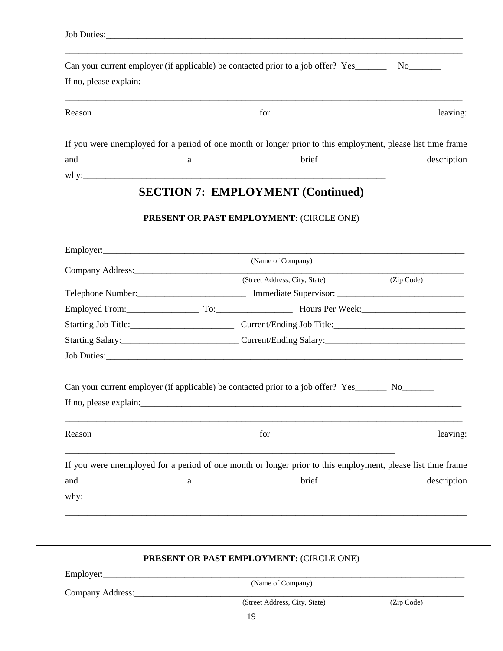|        |   | Can your current employer (if applicable) be contacted prior to a job offer? Yes                            | No the set of the set of the set of the set of the set of the set of the set of the set of the set of the set of the set of the set of the set of the set of the set of the set of the set of the set of the set of the set of |
|--------|---|-------------------------------------------------------------------------------------------------------------|--------------------------------------------------------------------------------------------------------------------------------------------------------------------------------------------------------------------------------|
|        |   |                                                                                                             |                                                                                                                                                                                                                                |
| Reason |   | for                                                                                                         | leaving:                                                                                                                                                                                                                       |
|        |   | If you were unemployed for a period of one month or longer prior to this employment, please list time frame |                                                                                                                                                                                                                                |
| and    | a | brief                                                                                                       | description                                                                                                                                                                                                                    |
| why:   |   |                                                                                                             |                                                                                                                                                                                                                                |

### **SECTION 7: EMPLOYMENT (Continued)**

#### **PRESENT OR PAST EMPLOYMENT:** (CIRCLE ONE)

| (Name of Company)<br>(Street Address, City, State)<br>(Zip Code)<br>Employed From: To: To: Hours Per Week: Microsoft Communications Communications Accounts Communications Accounts Communications Accounts Communications Accounts Communications Accounts Accounts Accounts Accounts Accounts Ac<br>Starting Job Title: Current/Ending Job Title:<br>Can your current employer (if applicable) be contacted prior to a job offer? Yes_________ No________<br>Reason<br>for<br>If you were unemployed for a period of one month or longer prior to this employment, please list time frame<br>brief<br>and<br>$\rm{a}$ |  |             |
|-------------------------------------------------------------------------------------------------------------------------------------------------------------------------------------------------------------------------------------------------------------------------------------------------------------------------------------------------------------------------------------------------------------------------------------------------------------------------------------------------------------------------------------------------------------------------------------------------------------------------|--|-------------|
|                                                                                                                                                                                                                                                                                                                                                                                                                                                                                                                                                                                                                         |  |             |
|                                                                                                                                                                                                                                                                                                                                                                                                                                                                                                                                                                                                                         |  |             |
|                                                                                                                                                                                                                                                                                                                                                                                                                                                                                                                                                                                                                         |  |             |
|                                                                                                                                                                                                                                                                                                                                                                                                                                                                                                                                                                                                                         |  |             |
|                                                                                                                                                                                                                                                                                                                                                                                                                                                                                                                                                                                                                         |  |             |
|                                                                                                                                                                                                                                                                                                                                                                                                                                                                                                                                                                                                                         |  |             |
|                                                                                                                                                                                                                                                                                                                                                                                                                                                                                                                                                                                                                         |  |             |
|                                                                                                                                                                                                                                                                                                                                                                                                                                                                                                                                                                                                                         |  |             |
|                                                                                                                                                                                                                                                                                                                                                                                                                                                                                                                                                                                                                         |  |             |
|                                                                                                                                                                                                                                                                                                                                                                                                                                                                                                                                                                                                                         |  |             |
|                                                                                                                                                                                                                                                                                                                                                                                                                                                                                                                                                                                                                         |  | leaving:    |
|                                                                                                                                                                                                                                                                                                                                                                                                                                                                                                                                                                                                                         |  |             |
|                                                                                                                                                                                                                                                                                                                                                                                                                                                                                                                                                                                                                         |  | description |
|                                                                                                                                                                                                                                                                                                                                                                                                                                                                                                                                                                                                                         |  |             |
|                                                                                                                                                                                                                                                                                                                                                                                                                                                                                                                                                                                                                         |  |             |
|                                                                                                                                                                                                                                                                                                                                                                                                                                                                                                                                                                                                                         |  |             |
|                                                                                                                                                                                                                                                                                                                                                                                                                                                                                                                                                                                                                         |  |             |

#### **PRESENT OR PAST EMPLOYMENT:** (CIRCLE ONE)

Employer:\_\_\_\_\_\_\_\_\_\_\_\_\_\_\_\_\_\_\_\_\_\_\_\_\_\_\_\_\_\_\_\_\_\_\_\_\_\_\_\_\_\_\_\_\_\_\_\_\_\_\_\_\_\_\_\_\_\_\_\_\_\_\_\_\_\_\_\_\_\_\_\_\_\_\_\_\_\_\_\_

(Name of Company)

Company Address: City, State) (Street Address, City, State) (Zip Code) (Street Address, City, State)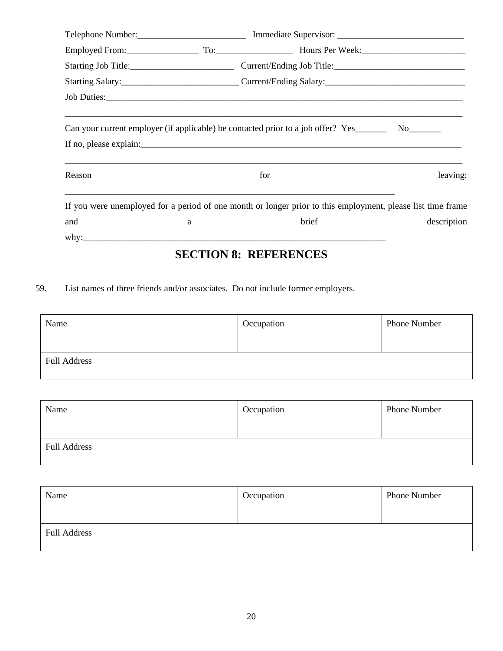|        |   | Employed From: To: To: Hours Per Week: Microsoft Communications Communications Communications Communications Communications Communications Communications Communications Communications Communications Communications Communic |  |
|--------|---|--------------------------------------------------------------------------------------------------------------------------------------------------------------------------------------------------------------------------------|--|
|        |   | Starting Job Title: Current/Ending Job Title: Current/Ending Job Title:                                                                                                                                                        |  |
|        |   |                                                                                                                                                                                                                                |  |
|        |   |                                                                                                                                                                                                                                |  |
|        |   |                                                                                                                                                                                                                                |  |
|        |   | Can your current employer (if applicable) be contacted prior to a job offer? Yes__________ No_______                                                                                                                           |  |
|        |   |                                                                                                                                                                                                                                |  |
|        |   |                                                                                                                                                                                                                                |  |
| Reason |   | for<br>leaving:                                                                                                                                                                                                                |  |
|        |   |                                                                                                                                                                                                                                |  |
|        |   | If you were unemployed for a period of one month or longer prior to this employment, please list time frame                                                                                                                    |  |
| and    | a | brief<br>description                                                                                                                                                                                                           |  |
|        |   |                                                                                                                                                                                                                                |  |
|        |   | <b>SECTION 8: REFERENCES</b>                                                                                                                                                                                                   |  |

59. List names of three friends and/or associates. Do not include former employers.

| Name                | Occupation | <b>Phone Number</b> |
|---------------------|------------|---------------------|
|                     |            |                     |
| <b>Full Address</b> |            |                     |

| Name                | Occupation | <b>Phone Number</b> |
|---------------------|------------|---------------------|
|                     |            |                     |
| <b>Full Address</b> |            |                     |

| Name                | Occupation | <b>Phone Number</b> |
|---------------------|------------|---------------------|
| <b>Full Address</b> |            |                     |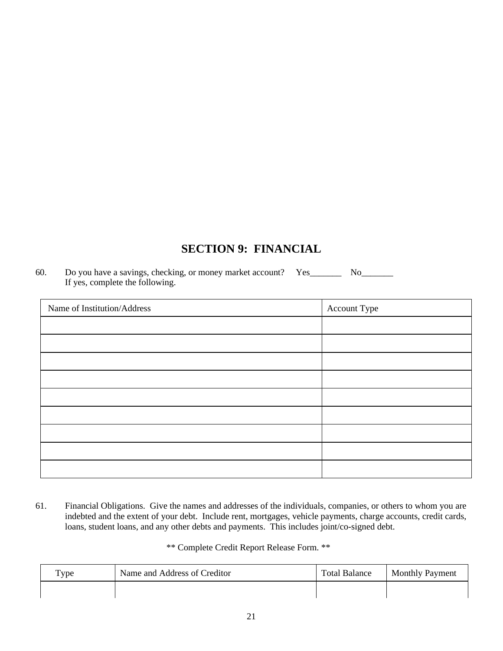### **SECTION 9: FINANCIAL**

60. Do you have a savings, checking, or money market account? Yes\_\_\_\_\_\_\_ No\_\_\_\_\_\_\_ If yes, complete the following.

| Name of Institution/Address | Account Type |
|-----------------------------|--------------|
|                             |              |
|                             |              |
|                             |              |
|                             |              |
|                             |              |
|                             |              |
|                             |              |
|                             |              |
|                             |              |

61. Financial Obligations. Give the names and addresses of the individuals, companies, or others to whom you are indebted and the extent of your debt. Include rent, mortgages, vehicle payments, charge accounts, credit cards, loans, student loans, and any other debts and payments. This includes joint/co-signed debt.

\*\* Complete Credit Report Release Form. \*\*

| $_{\text{Type}}$ | Name and Address of Creditor | <b>Total Balance</b> | <b>Monthly Payment</b> |
|------------------|------------------------------|----------------------|------------------------|
|                  |                              |                      |                        |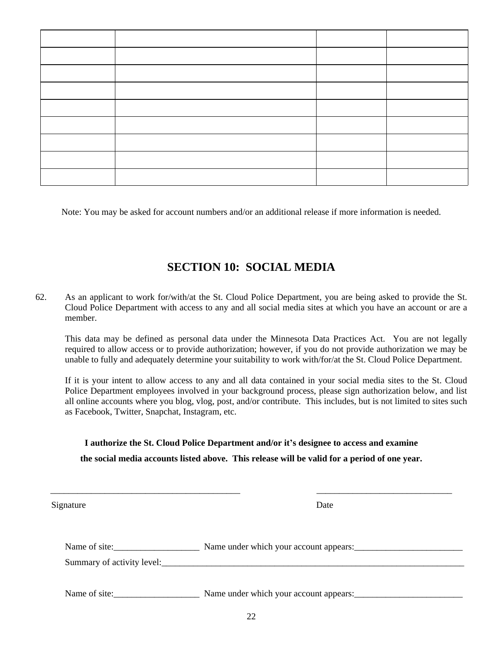Note: You may be asked for account numbers and/or an additional release if more information is needed.

### **SECTION 10: SOCIAL MEDIA**

62. As an applicant to work for/with/at the St. Cloud Police Department, you are being asked to provide the St. Cloud Police Department with access to any and all social media sites at which you have an account or are a member.

This data may be defined as personal data under the Minnesota Data Practices Act. You are not legally required to allow access or to provide authorization; however, if you do not provide authorization we may be unable to fully and adequately determine your suitability to work with/for/at the St. Cloud Police Department.

If it is your intent to allow access to any and all data contained in your social media sites to the St. Cloud Police Department employees involved in your background process, please sign authorization below, and list all online accounts where you blog, vlog, post, and/or contribute. This includes, but is not limited to sites such as Facebook, Twitter, Snapchat, Instagram, etc.

#### **I authorize the St. Cloud Police Department and/or it's designee to access and examine the social media accounts listed above. This release will be valid for a period of one year.**

| Signature     | Date                                   |
|---------------|----------------------------------------|
| Name of site: | Name under which your account appears: |
|               |                                        |
| Name of site: | Name under which your account appears: |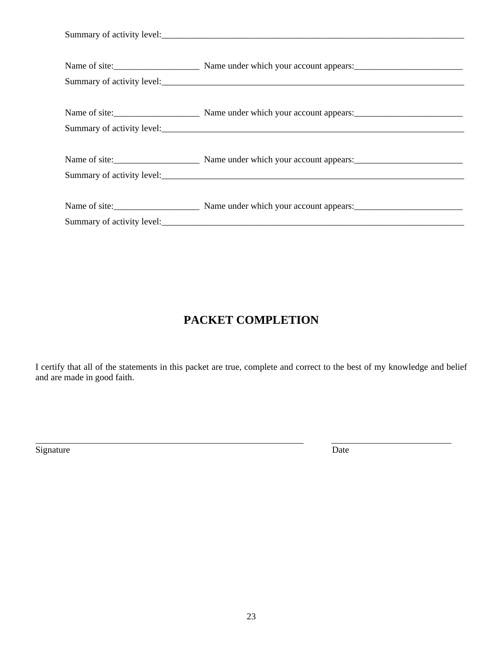| Name of site: Name under which your account appears: |
|------------------------------------------------------|
| Summary of activity level:                           |
|                                                      |
| Name of site: Name under which your account appears: |
| Summary of activity level:                           |

# **PACKET COMPLETION**

I certify that all of the statements in this packet are true, complete and correct to the best of my knowledge and belief and are made in good faith.

Signature Date

 $\overline{a}$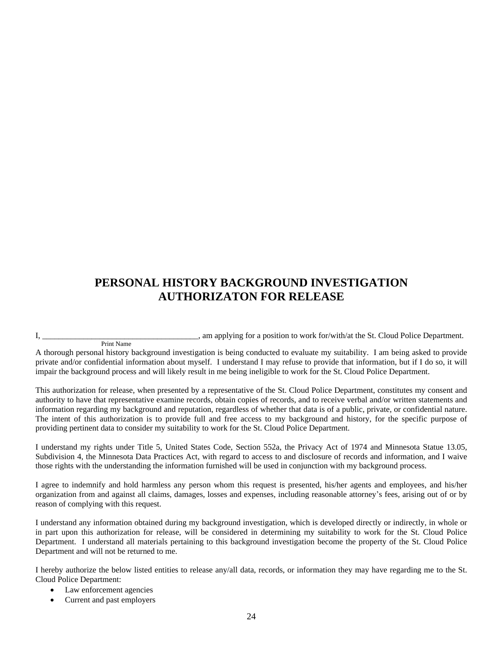#### **PERSONAL HISTORY BACKGROUND INVESTIGATION AUTHORIZATON FOR RELEASE**

I, \_\_\_\_\_\_\_\_\_\_\_\_\_\_\_\_\_\_\_\_\_\_\_\_\_\_\_, am applying for a position to work for/with/at the St. Cloud Police Department. Print Name

A thorough personal history background investigation is being conducted to evaluate my suitability. I am being asked to provide private and/or confidential information about myself. I understand I may refuse to provide that information, but if I do so, it will impair the background process and will likely result in me being ineligible to work for the St. Cloud Police Department.

This authorization for release, when presented by a representative of the St. Cloud Police Department, constitutes my consent and authority to have that representative examine records, obtain copies of records, and to receive verbal and/or written statements and information regarding my background and reputation, regardless of whether that data is of a public, private, or confidential nature. The intent of this authorization is to provide full and free access to my background and history, for the specific purpose of providing pertinent data to consider my suitability to work for the St. Cloud Police Department.

I understand my rights under Title 5, United States Code, Section 552a, the Privacy Act of 1974 and Minnesota Statue 13.05, Subdivision 4, the Minnesota Data Practices Act, with regard to access to and disclosure of records and information, and I waive those rights with the understanding the information furnished will be used in conjunction with my background process.

I agree to indemnify and hold harmless any person whom this request is presented, his/her agents and employees, and his/her organization from and against all claims, damages, losses and expenses, including reasonable attorney's fees, arising out of or by reason of complying with this request.

I understand any information obtained during my background investigation, which is developed directly or indirectly, in whole or in part upon this authorization for release, will be considered in determining my suitability to work for the St. Cloud Police Department. I understand all materials pertaining to this background investigation become the property of the St. Cloud Police Department and will not be returned to me.

I hereby authorize the below listed entities to release any/all data, records, or information they may have regarding me to the St. Cloud Police Department:

- Law enforcement agencies
- Current and past employers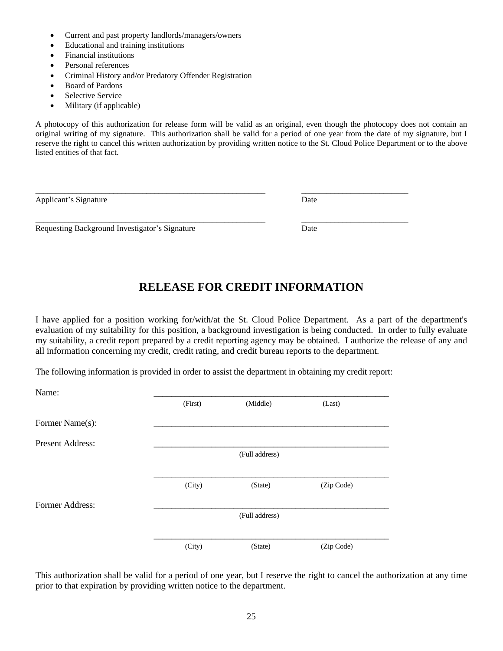- Current and past property landlords/managers/owners
- Educational and training institutions
- Financial institutions
- Personal references
- Criminal History and/or Predatory Offender Registration
- Board of Pardons
- Selective Service
- Military (if applicable)

A photocopy of this authorization for release form will be valid as an original, even though the photocopy does not contain an original writing of my signature. This authorization shall be valid for a period of one year from the date of my signature, but I reserve the right to cancel this written authorization by providing written notice to the St. Cloud Police Department or to the above listed entities of that fact.

\_\_\_\_\_\_\_\_\_\_\_\_\_\_\_\_\_\_\_\_\_\_\_\_\_\_\_\_\_\_\_\_\_\_\_\_\_\_\_\_\_\_\_\_\_\_\_\_\_\_\_\_\_\_\_\_ \_\_\_\_\_\_\_\_\_\_\_\_\_\_\_\_\_\_\_\_\_\_\_\_\_\_

\_\_\_\_\_\_\_\_\_\_\_\_\_\_\_\_\_\_\_\_\_\_\_\_\_\_\_\_\_\_\_\_\_\_\_\_\_\_\_\_\_\_\_\_\_\_\_\_\_\_\_\_\_\_\_\_ \_\_\_\_\_\_\_\_\_\_\_\_\_\_\_\_\_\_\_\_\_\_\_\_\_\_

| Applicant's Signature | Date |
|-----------------------|------|
|                       |      |

Requesting Background Investigator's Signature Date

### **RELEASE FOR CREDIT INFORMATION**

I have applied for a position working for/with/at the St. Cloud Police Department. As a part of the department's evaluation of my suitability for this position, a background investigation is being conducted. In order to fully evaluate my suitability, a credit report prepared by a credit reporting agency may be obtained. I authorize the release of any and all information concerning my credit, credit rating, and credit bureau reports to the department.

The following information is provided in order to assist the department in obtaining my credit report:

| Name:                   |         |                |            |
|-------------------------|---------|----------------|------------|
|                         | (First) | (Middle)       | (Last)     |
| Former Name(s):         |         |                |            |
| <b>Present Address:</b> |         |                |            |
|                         |         | (Full address) |            |
|                         |         |                |            |
|                         | (City)  | (State)        | (Zip Code) |
| Former Address:         |         |                |            |
|                         |         | (Full address) |            |
|                         |         |                |            |
|                         | (City)  | (State)        | (Zip Code) |

This authorization shall be valid for a period of one year, but I reserve the right to cancel the authorization at any time prior to that expiration by providing written notice to the department.